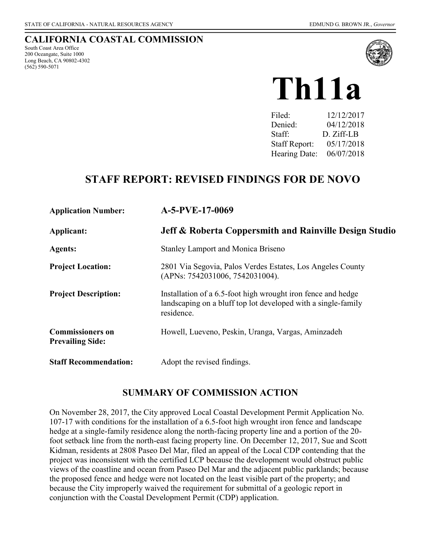#### **CALIFORNIA COASTAL COMMISSION**

South Coast Area Office 200 Oceangate, Suite 1000 Long Beach, CA 90802-4302 (562) 590-5071



# **Th11a**

| 12/12/2017 |
|------------|
| 04/12/2018 |
| D. Ziff-LB |
| 05/17/2018 |
| 06/07/2018 |
|            |

## **STAFF REPORT: REVISED FINDINGS FOR DE NOVO**

| <b>Application Number:</b>                         | A-5-PVE-17-0069                                                                                                                             |
|----------------------------------------------------|---------------------------------------------------------------------------------------------------------------------------------------------|
| Applicant:                                         | <b>Jeff &amp; Roberta Coppersmith and Rainville Design Studio</b>                                                                           |
| <b>Agents:</b>                                     | <b>Stanley Lamport and Monica Briseno</b>                                                                                                   |
| <b>Project Location:</b>                           | 2801 Via Segovia, Palos Verdes Estates, Los Angeles County<br>(APNs: 7542031006, 7542031004).                                               |
| <b>Project Description:</b>                        | Installation of a 6.5-foot high wrought iron fence and hedge<br>landscaping on a bluff top lot developed with a single-family<br>residence. |
| <b>Commissioners on</b><br><b>Prevailing Side:</b> | Howell, Lueveno, Peskin, Uranga, Vargas, Aminzadeh                                                                                          |
| <b>Staff Recommendation:</b>                       | Adopt the revised findings.                                                                                                                 |

#### **SUMMARY OF COMMISSION ACTION**

On November 28, 2017, the City approved Local Coastal Development Permit Application No. 107-17 with conditions for the installation of a 6.5-foot high wrought iron fence and landscape hedge at a single-family residence along the north-facing property line and a portion of the 20 foot setback line from the north-east facing property line. On December 12, 2017, Sue and Scott Kidman, residents at 2808 Paseo Del Mar, filed an appeal of the Local CDP contending that the project was inconsistent with the certified LCP because the development would obstruct public views of the coastline and ocean from Paseo Del Mar and the adjacent public parklands; because the proposed fence and hedge were not located on the least visible part of the property; and because the City improperly waived the requirement for submittal of a geologic report in conjunction with the Coastal Development Permit (CDP) application.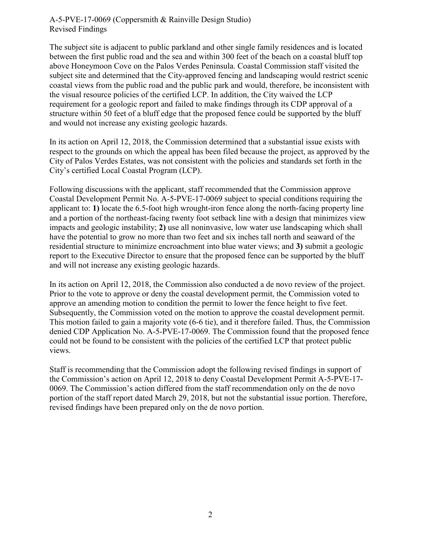The subject site is adjacent to public parkland and other single family residences and is located between the first public road and the sea and within 300 feet of the beach on a coastal bluff top above Honeymoon Cove on the Palos Verdes Peninsula. Coastal Commission staff visited the subject site and determined that the City-approved fencing and landscaping would restrict scenic coastal views from the public road and the public park and would, therefore, be inconsistent with the visual resource policies of the certified LCP. In addition, the City waived the LCP requirement for a geologic report and failed to make findings through its CDP approval of a structure within 50 feet of a bluff edge that the proposed fence could be supported by the bluff and would not increase any existing geologic hazards.

In its action on April 12, 2018, the Commission determined that a substantial issue exists with respect to the grounds on which the appeal has been filed because the project, as approved by the City of Palos Verdes Estates, was not consistent with the policies and standards set forth in the City's certified Local Coastal Program (LCP).

Following discussions with the applicant, staff recommended that the Commission approve Coastal Development Permit No. A-5-PVE-17-0069 subject to special conditions requiring the applicant to: **1)** locate the 6.5-foot high wrought-iron fence along the north-facing property line and a portion of the northeast-facing twenty foot setback line with a design that minimizes view impacts and geologic instability; **2)** use all noninvasive, low water use landscaping which shall have the potential to grow no more than two feet and six inches tall north and seaward of the residential structure to minimize encroachment into blue water views; and **3)** submit a geologic report to the Executive Director to ensure that the proposed fence can be supported by the bluff and will not increase any existing geologic hazards.

In its action on April 12, 2018, the Commission also conducted a de novo review of the project. Prior to the vote to approve or deny the coastal development permit, the Commission voted to approve an amending motion to condition the permit to lower the fence height to five feet. Subsequently, the Commission voted on the motion to approve the coastal development permit. This motion failed to gain a majority vote (6-6 tie), and it therefore failed. Thus, the Commission denied CDP Application No. A-5-PVE-17-0069. The Commission found that the proposed fence could not be found to be consistent with the policies of the certified LCP that protect public views.

Staff is recommending that the Commission adopt the following revised findings in support of the Commission's action on April 12, 2018 to deny Coastal Development Permit A-5-PVE-17- 0069. The Commission's action differed from the staff recommendation only on the de novo portion of the staff report dated March 29, 2018, but not the substantial issue portion. Therefore, revised findings have been prepared only on the de novo portion.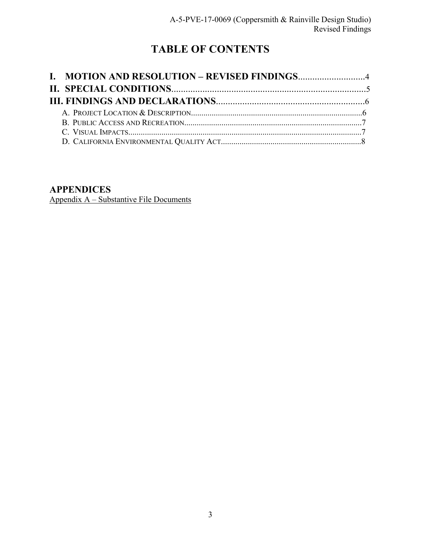## **TABLE OF CONTENTS**

#### **APPENDICES**

[Appendix A – Substantive File Documents](#page-11-1)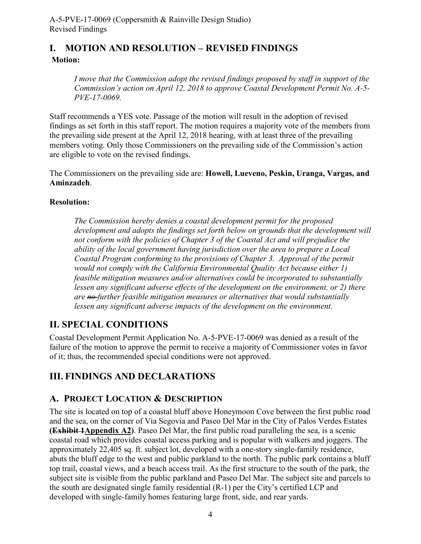## <span id="page-3-0"></span>**I. MOTION AND RESOLUTION – REVISED FINDINGS Motion:**

*I move that the Commission adopt the revised findings proposed by staff in support of the Commission's action on April 12, 2018 to approve Coastal Development Permit No. A-5- PVE-17-0069.* 

Staff recommends a YES vote. Passage of the motion will result in the adoption of revised findings as set forth in this staff report. The motion requires a majority vote of the members from the prevailing side present at the April 12, 2018 hearing, with at least three of the prevailing members voting. Only those Commissioners on the prevailing side of the Commission's action are eligible to vote on the revised findings.

The Commissioners on the prevailing side are: **Howell, Lueveno, Peskin, Uranga, Vargas, and Aminzadeh**.

#### **Resolution:**

*The Commission hereby denies a coastal development permit for the proposed*  development and adopts the findings set forth below on grounds that the development will *not conform with the policies of Chapter 3 of the Coastal Act and will prejudice the ability of the local government having jurisdiction over the area to prepare a Local Coastal Program conforming to the provisions of Chapter 3. Approval of the permit would not comply with the California Environmental Quality Act because either 1) feasible mitigation measures and/or alternatives could be incorporated to substantially lessen any significant adverse effects of the development on the environment, or 2) there are no further feasible mitigation measures or alternatives that would substantially lessen any significant adverse impacts of the development on the environment.* 

## <span id="page-3-1"></span>**II. SPECIAL CONDITIONS**

Coastal Development Permit Application No. A-5-PVE-17-0069 was denied as a result of the failure of the motion to approve the permit to receive a majority of Commissioner votes in favor of it; thus, the recommended special conditions were not approved.

## <span id="page-3-2"></span>**III. FINDINGS AND DECLARATIONS**

#### <span id="page-3-3"></span>**A. PROJECT LOCATION & DESCRIPTION**

The site is located on top of a coastal bluff above Honeymoon Cove between the first public road and the sea, on the corner of Via Segovia and Paseo Del Mar in the City of Palos Verdes Estates **(Exhibit 1Appendix A2)**. Paseo Del Mar, the first public road paralleling the sea, is a scenic coastal road which provides coastal access parking and is popular with walkers and joggers. The approximately 22,405 sq. ft. subject lot, developed with a one-story single-family residence, abuts the bluff edge to the west and public parkland to the north. The public park contains a bluff top trail, coastal views, and a beach access trail. As the first structure to the south of the park, the subject site is visible from the public parkland and Paseo Del Mar. The subject site and parcels to the south are designated single family residential (R-1) per the City's certified LCP and developed with single-family homes featuring large front, side, and rear yards.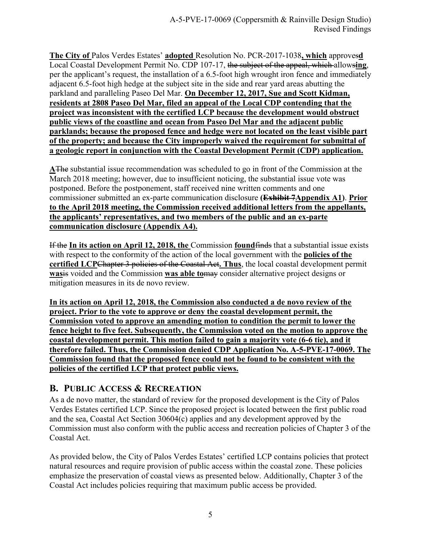**The City of** Palos Verdes Estates' **adopted** Resolution No. PCR-2017-1038**, which** approves**d** Local Coastal Development Permit No. CDP 107-17, the subject of the appeal, which allows**ing**, per the applicant's request, the installation of a 6.5-foot high wrought iron fence and immediately adjacent 6.5-foot high hedge at the subject site in the side and rear yard areas abutting the parkland and paralleling Paseo Del Mar. **On December 12, 2017, Sue and Scott Kidman, residents at 2808 Paseo Del Mar, filed an appeal of the Local CDP contending that the project was inconsistent with the certified LCP because the development would obstruct public views of the coastline and ocean from Paseo Del Mar and the adjacent public parklands; because the proposed fence and hedge were not located on the least visible part of the property; and because the City improperly waived the requirement for submittal of a geologic report in conjunction with the Coastal Development Permit (CDP) application.** 

**A**The substantial issue recommendation was scheduled to go in front of the Commission at the March 2018 meeting; however, due to insufficient noticing, the substantial issue vote was postponed. Before the postponement, staff received nine written comments and one commissioner submitted an ex-parte communication disclosure **(Exhibit 7Appendix A1)**. **Prior to the April 2018 meeting, the Commission received additional letters from the appellants, the applicants' representatives, and two members of the public and an ex-parte communication disclosure (Appendix A4).**

If the **In its action on April 12, 2018, the** Commission **found**finds that a substantial issue exists with respect to the conformity of the action of the local government with the **policies of the certified LCP**Chapter 3 policies of the Coastal Act**. Thus**, the local coastal development permit **was**is voided and the Commission **was able to**may consider alternative project designs or mitigation measures in its de novo review.

**In its action on April 12, 2018, the Commission also conducted a de novo review of the project. Prior to the vote to approve or deny the coastal development permit, the Commission voted to approve an amending motion to condition the permit to lower the fence height to five feet. Subsequently, the Commission voted on the motion to approve the coastal development permit. This motion failed to gain a majority vote (6-6 tie), and it therefore failed. Thus, the Commission denied CDP Application No. A-5-PVE-17-0069. The Commission found that the proposed fence could not be found to be consistent with the policies of the certified LCP that protect public views.** 

#### <span id="page-4-0"></span>**B. PUBLIC ACCESS & RECREATION**

As a de novo matter, the standard of review for the proposed development is the City of Palos Verdes Estates certified LCP. Since the proposed project is located between the first public road and the sea, Coastal Act Section 30604(c) applies and any development approved by the Commission must also conform with the public access and recreation policies of Chapter 3 of the Coastal Act.

As provided below, the City of Palos Verdes Estates' certified LCP contains policies that protect natural resources and require provision of public access within the coastal zone. These policies emphasize the preservation of coastal views as presented below. Additionally, Chapter 3 of the Coastal Act includes policies requiring that maximum public access be provided.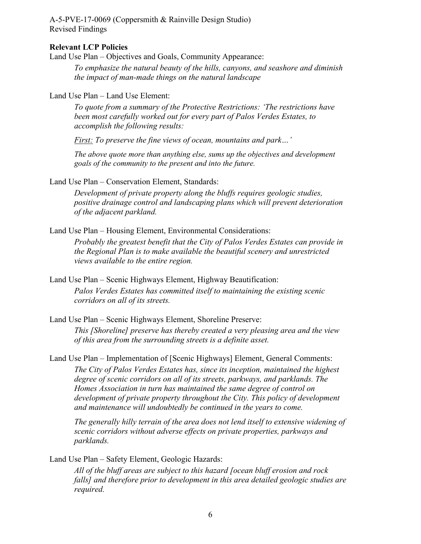#### **Relevant LCP Policies**

Land Use Plan – Objectives and Goals, Community Appearance:

*To emphasize the natural beauty of the hills, canyons, and seashore and diminish the impact of man-made things on the natural landscape* 

Land Use Plan – Land Use Element:

*To quote from a summary of the Protective Restrictions: 'The restrictions have been most carefully worked out for every part of Palos Verdes Estates, to accomplish the following results:* 

*First: To preserve the fine views of ocean, mountains and park…'* 

*The above quote more than anything else, sums up the objectives and development goals of the community to the present and into the future.* 

Land Use Plan – Conservation Element, Standards:

*Development of private property along the bluffs requires geologic studies, positive drainage control and landscaping plans which will prevent deterioration of the adjacent parkland.*

Land Use Plan – Housing Element, Environmental Considerations:

*Probably the greatest benefit that the City of Palos Verdes Estates can provide in the Regional Plan is to make available the beautiful scenery and unrestricted views available to the entire region.*

Land Use Plan – Scenic Highways Element, Highway Beautification: *Palos Verdes Estates has committed itself to maintaining the existing scenic corridors on all of its streets.*

Land Use Plan – Scenic Highways Element, Shoreline Preserve: *This [Shoreline] preserve has thereby created a very pleasing area and the view of this area from the surrounding streets is a definite asset.* 

Land Use Plan – Implementation of [Scenic Highways] Element, General Comments: *The City of Palos Verdes Estates has, since its inception, maintained the highest degree of scenic corridors on all of its streets, parkways, and parklands. The Homes Association in turn has maintained the same degree of control on development of private property throughout the City. This policy of development and maintenance will undoubtedly be continued in the years to come.* 

*The generally hilly terrain of the area does not lend itself to extensive widening of scenic corridors without adverse effects on private properties, parkways and parklands.*

Land Use Plan – Safety Element, Geologic Hazards:

*All of the bluff areas are subject to this hazard [ocean bluff erosion and rock falls] and therefore prior to development in this area detailed geologic studies are required.*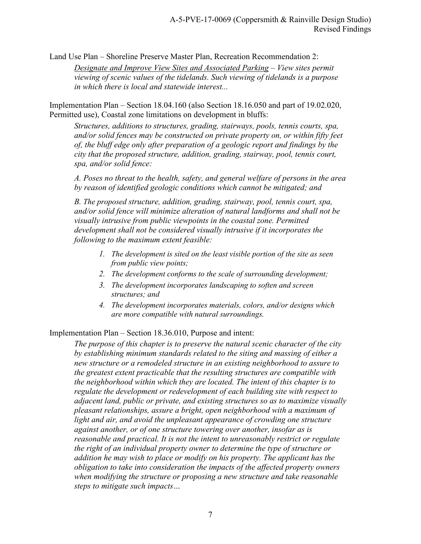Land Use Plan – Shoreline Preserve Master Plan, Recreation Recommendation 2:

*Designate and Improve View Sites and Associated Parking – View sites permit viewing of scenic values of the tidelands. Such viewing of tidelands is a purpose in which there is local and statewide interest...* 

Implementation Plan – Section 18.04.160 (also Section 18.16.050 and part of 19.02.020, Permitted use), Coastal zone limitations on development in bluffs:

*Structures, additions to structures, grading, stairways, pools, tennis courts, spa, and/or solid fences may be constructed on private property on, or within fifty feet of, the bluff edge only after preparation of a geologic report and findings by the city that the proposed structure, addition, grading, stairway, pool, tennis court, spa, and/or solid fence:* 

*A. Poses no threat to the health, safety, and general welfare of persons in the area by reason of identified geologic conditions which cannot be mitigated; and* 

*B. The proposed structure, addition, grading, stairway, pool, tennis court, spa, and/or solid fence will minimize alteration of natural landforms and shall not be visually intrusive from public viewpoints in the coastal zone. Permitted development shall not be considered visually intrusive if it incorporates the following to the maximum extent feasible:*

- *1. The development is sited on the least visible portion of the site as seen from public view points;*
- *2. The development conforms to the scale of surrounding development;*
- *3. The development incorporates landscaping to soften and screen structures; and*
- *4. The development incorporates materials, colors, and/or designs which are more compatible with natural surroundings.*

Implementation Plan – Section 18.36.010, Purpose and intent:

*The purpose of this chapter is to preserve the natural scenic character of the city by establishing minimum standards related to the siting and massing of either a new structure or a remodeled structure in an existing neighborhood to assure to the greatest extent practicable that the resulting structures are compatible with the neighborhood within which they are located. The intent of this chapter is to regulate the development or redevelopment of each building site with respect to adjacent land, public or private, and existing structures so as to maximize visually pleasant relationships, assure a bright, open neighborhood with a maximum of light and air, and avoid the unpleasant appearance of crowding one structure against another, or of one structure towering over another, insofar as is reasonable and practical. It is not the intent to unreasonably restrict or regulate the right of an individual property owner to determine the type of structure or addition he may wish to place or modify on his property. The applicant has the obligation to take into consideration the impacts of the affected property owners when modifying the structure or proposing a new structure and take reasonable steps to mitigate such impacts…*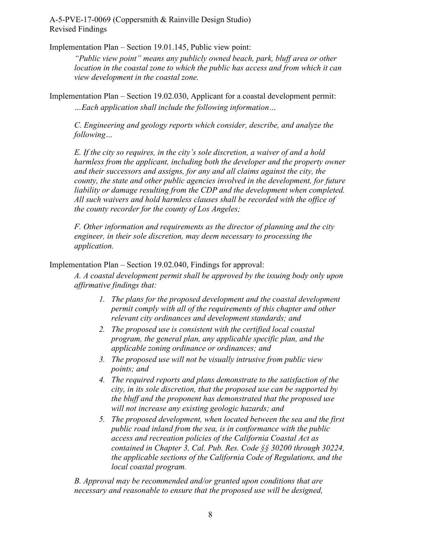Implementation Plan – Section 19.01.145, Public view point:

*"Public view point" means any publicly owned beach, park, bluff area or other location in the coastal zone to which the public has access and from which it can view development in the coastal zone.* 

Implementation Plan – Section 19.02.030, Applicant for a coastal development permit: *…Each application shall include the following information…* 

*C. Engineering and geology reports which consider, describe, and analyze the following…* 

*E. If the city so requires, in the city's sole discretion, a waiver of and a hold harmless from the applicant, including both the developer and the property owner and their successors and assigns, for any and all claims against the city, the county, the state and other public agencies involved in the development, for future liability or damage resulting from the CDP and the development when completed. All such waivers and hold harmless clauses shall be recorded with the office of the county recorder for the county of Los Angeles;* 

*F. Other information and requirements as the director of planning and the city engineer, in their sole discretion, may deem necessary to processing the application.* 

Implementation Plan – Section 19.02.040, Findings for approval:

*A. A coastal development permit shall be approved by the issuing body only upon affirmative findings that:* 

- *1. The plans for the proposed development and the coastal development permit comply with all of the requirements of this chapter and other relevant city ordinances and development standards; and*
- *2. The proposed use is consistent with the certified local coastal program, the general plan, any applicable specific plan, and the applicable zoning ordinance or ordinances; and*
- *3. The proposed use will not be visually intrusive from public view points; and*
- *4. The required reports and plans demonstrate to the satisfaction of the city, in its sole discretion, that the proposed use can be supported by the bluff and the proponent has demonstrated that the proposed use will not increase any existing geologic hazards; and*
- *5. The proposed development, when located between the sea and the first public road inland from the sea, is in conformance with the public access and recreation policies of the California Coastal Act as contained in Chapter 3, Cal. Pub. Res. Code §§ 30200 through 30224, the applicable sections of the California Code of Regulations, and the local coastal program.*

*B. Approval may be recommended and/or granted upon conditions that are necessary and reasonable to ensure that the proposed use will be designed,*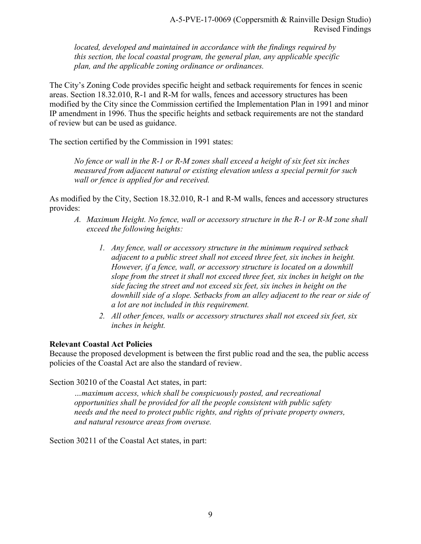*located, developed and maintained in accordance with the findings required by this section, the local coastal program, the general plan, any applicable specific plan, and the applicable zoning ordinance or ordinances.* 

The City's Zoning Code provides specific height and setback requirements for fences in scenic areas. Section 18.32.010, R-1 and R-M for walls, fences and accessory structures has been modified by the City since the Commission certified the Implementation Plan in 1991 and minor IP amendment in 1996. Thus the specific heights and setback requirements are not the standard of review but can be used as guidance.

The section certified by the Commission in 1991 states:

*No fence or wall in the R-1 or R-M zones shall exceed a height of six feet six inches measured from adjacent natural or existing elevation unless a special permit for such wall or fence is applied for and received.* 

As modified by the City, Section 18.32.010, R-1 and R-M walls, fences and accessory structures provides:

- *A. Maximum Height. No fence, wall or accessory structure in the R-1 or R-M zone shall exceed the following heights:* 
	- *1. Any fence, wall or accessory structure in the minimum required setback adjacent to a public street shall not exceed three feet, six inches in height. However, if a fence, wall, or accessory structure is located on a downhill slope from the street it shall not exceed three feet, six inches in height on the side facing the street and not exceed six feet, six inches in height on the downhill side of a slope. Setbacks from an alley adjacent to the rear or side of a lot are not included in this requirement.*
	- *2. All other fences, walls or accessory structures shall not exceed six feet, six inches in height.*

#### **Relevant Coastal Act Policies**

Because the proposed development is between the first public road and the sea, the public access policies of the Coastal Act are also the standard of review.

Section 30210 of the Coastal Act states, in part:

*…maximum access, which shall be conspicuously posted, and recreational opportunities shall be provided for all the people consistent with public safety needs and the need to protect public rights, and rights of private property owners, and natural resource areas from overuse.* 

Section 30211 of the Coastal Act states, in part: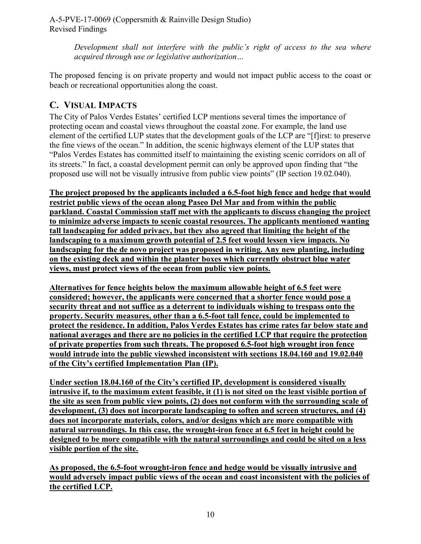> *Development shall not interfere with the public's right of access to the sea where acquired through use or legislative authorization…*

The proposed fencing is on private property and would not impact public access to the coast or beach or recreational opportunities along the coast.

#### <span id="page-9-0"></span>**C. VISUAL IMPACTS**

The City of Palos Verdes Estates' certified LCP mentions several times the importance of protecting ocean and coastal views throughout the coastal zone. For example, the land use element of the certified LUP states that the development goals of the LCP are "[f]irst: to preserve the fine views of the ocean." In addition, the scenic highways element of the LUP states that "Palos Verdes Estates has committed itself to maintaining the existing scenic corridors on all of its streets." In fact, a coastal development permit can only be approved upon finding that "the proposed use will not be visually intrusive from public view points" (IP section 19.02.040).

**The project proposed by the applicants included a 6.5-foot high fence and hedge that would restrict public views of the ocean along Paseo Del Mar and from within the public parkland. Coastal Commission staff met with the applicants to discuss changing the project to minimize adverse impacts to scenic coastal resources. The applicants mentioned wanting tall landscaping for added privacy, but they also agreed that limiting the height of the landscaping to a maximum growth potential of 2.5 feet would lessen view impacts. No landscaping for the de novo project was proposed in writing. Any new planting, including on the existing deck and within the planter boxes which currently obstruct blue water views, must protect views of the ocean from public view points.** 

**Alternatives for fence heights below the maximum allowable height of 6.5 feet were considered; however, the applicants were concerned that a shorter fence would pose a security threat and not suffice as a deterrent to individuals wishing to trespass onto the property. Security measures, other than a 6.5-foot tall fence, could be implemented to protect the residence. In addition, Palos Verdes Estates has crime rates far below state and national averages and there are no policies in the certified LCP that require the protection of private properties from such threats. The proposed 6.5-foot high wrought iron fence would intrude into the public viewshed inconsistent with sections 18.04.160 and 19.02.040 of the City's certified Implementation Plan (IP).** 

**Under section 18.04.160 of the City's certified IP, development is considered visually intrusive if, to the maximum extent feasible, it (1) is not sited on the least visible portion of the site as seen from public view points, (2) does not conform with the surrounding scale of development, (3) does not incorporate landscaping to soften and screen structures, and (4) does not incorporate materials, colors, and/or designs which are more compatible with natural surroundings. In this case, the wrought-iron fence at 6.5 feet in height could be designed to be more compatible with the natural surroundings and could be sited on a less visible portion of the site.** 

**As proposed, the 6.5-foot wrought-iron fence and hedge would be visually intrusive and would adversely impact public views of the ocean and coast inconsistent with the policies of the certified LCP.**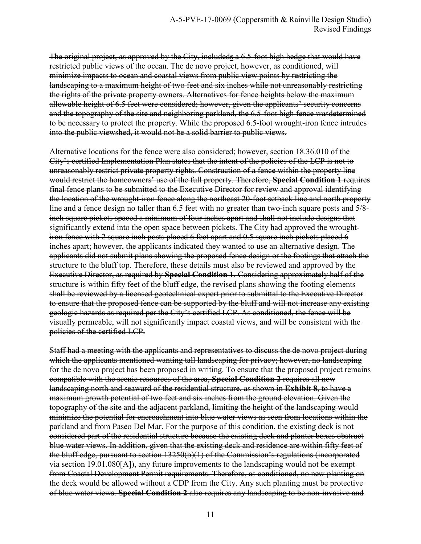The original project, as approved by the City, included**s** a 6.5-foot high hedge that would have restricted public views of the ocean. The de novo project, however, as conditioned, will minimize impacts to ocean and coastal views from public view points by restricting the landscaping to a maximum height of two feet and six inches while not unreasonably restricting the rights of the private property owners. Alternatives for fence heights below the maximum allowable height of 6.5 feet were considered; however, given the applicants' security concerns and the topography of the site and neighboring parkland, the 6.5-foot high fence wasdetermined to be necessary to protect the property. While the proposed 6.5-foot wrought-iron fence intrudes into the public viewshed, it would not be a solid barrier to public views.

Alternative locations for the fence were also considered; however, section 18.36.010 of the City's certified Implementation Plan states that the intent of the policies of the LCP is not to unreasonably restrict private property rights. Construction of a fence within the property line would restrict the homeowners' use of the full property. Therefore, **Special Condition 1** requires final fence plans to be submitted to the Executive Director for review and approval identifying the location of the wrought-iron fence along the northeast 20-foot setback line and north property line and a fence design no taller than 6.5 feet with no greater than two-inch square posts and 5/8 inch square pickets spaced a minimum of four inches apart and shall not include designs that significantly extend into the open space between pickets. The City had approved the wroughtiron fence with 2 square inch posts placed 6 feet apart and 0.5 square inch pickets placed 6 inches apart; however, the applicants indicated they wanted to use an alternative design. The applicants did not submit plans showing the proposed fence design or the footings that attach the structure to the bluff top. Therefore, these details must also be reviewed and approved by the Executive Director, as required by **Special Condition 1**. Considering approximately half of the structure is within fifty feet of the bluff edge, the revised plans showing the footing elements shall be reviewed by a licensed geotechnical expert prior to submittal to the Executive Director to ensure that the proposed fence can be supported by the bluff and will not increase any existing geologic hazards as required per the City's certified LCP. As conditioned, the fence will be visually permeable, will not significantly impact coastal views, and will be consistent with the policies of the certified LCP.

Staff had a meeting with the applicants and representatives to discuss the de novo project during which the applicants mentioned wanting tall landscaping for privacy; however, no landscaping for the de novo project has been proposed in writing. To ensure that the proposed project remains compatible with the scenic resources of the area, **Special Condition 2** requires all new landscaping north and seaward of the residential structure, as shown in **Exhibit 8**, to have a maximum growth potential of two feet and six inches from the ground elevation. Given the topography of the site and the adjacent parkland, limiting the height of the landscaping would minimize the potential for encroachment into blue water views as seen from locations within the parkland and from Paseo Del Mar. For the purpose of this condition, the existing deck is not considered part of the residential structure because the existing deck and planter boxes obstruct blue water views. In addition, given that the existing deck and residence are within fifty feet of the bluff edge, pursuant to section 13250(b)(1) of the Commission's regulations (incorporated via section 19.01.080[A]), any future improvements to the landscaping would not be exempt from Coastal Development Permit requirements. Therefore, as conditioned, no new planting on the deck would be allowed without a CDP from the City. Any such planting must be protective of blue water views. **Special Condition 2** also requires any landscaping to be non-invasive and